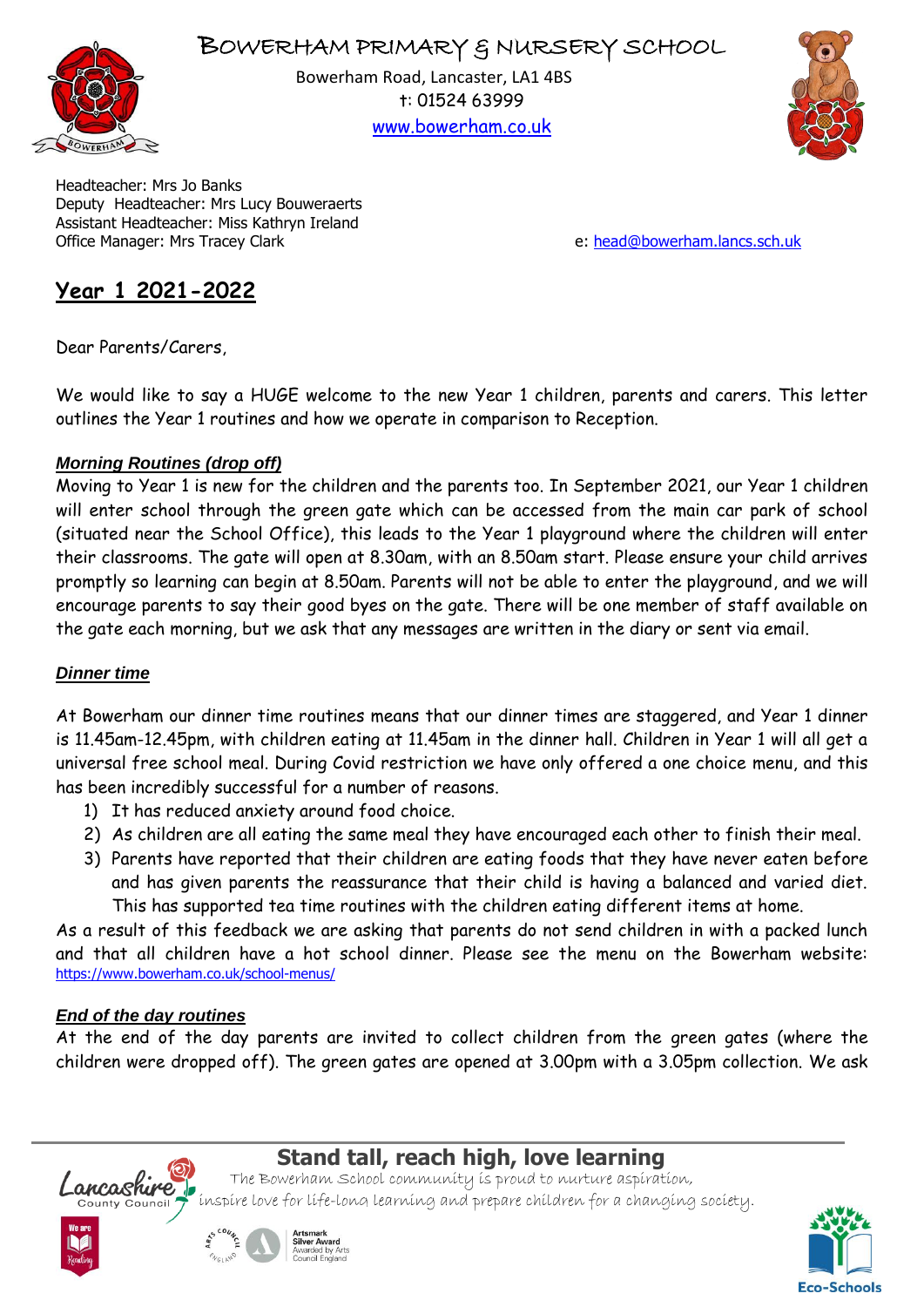



Bowerham Road, Lancaster, LA1 4BS t: 01524 63999 [www.bowerham.co.uk](http://www.bowerham.lancs.sch.uk/)



Headteacher: Mrs Jo Banks Deputy Headteacher: Mrs Lucy Bouweraerts Assistant Headteacher: Miss Kathryn Ireland Office Manager: Mrs Tracey Clark extended the state of the extended of the ether of [head@bowerham.lancs.sch.uk](mailto:head@bowerham.lancs.sch.uk)

# **Year 1 2021-2022**

Dear Parents/Carers,

We would like to say a HUGE welcome to the new Year 1 children, parents and carers. This letter outlines the Year 1 routines and how we operate in comparison to Reception.

### *Morning Routines (drop off)*

Moving to Year 1 is new for the children and the parents too. In September 2021, our Year 1 children will enter school through the green gate which can be accessed from the main car park of school (situated near the School Office), this leads to the Year 1 playground where the children will enter their classrooms. The gate will open at 8.30am, with an 8.50am start. Please ensure your child arrives promptly so learning can begin at 8.50am. Parents will not be able to enter the playground, and we will encourage parents to say their good byes on the gate. There will be one member of staff available on the gate each morning, but we ask that any messages are written in the diary or sent via email.

## *Dinner time*

At Bowerham our dinner time routines means that our dinner times are staggered, and Year 1 dinner is 11.45am-12.45pm, with children eating at 11.45am in the dinner hall. Children in Year 1 will all get a universal free school meal. During Covid restriction we have only offered a one choice menu, and this has been incredibly successful for a number of reasons.

- 1) It has reduced anxiety around food choice.
- 2) As children are all eating the same meal they have encouraged each other to finish their meal.
- 3) Parents have reported that their children are eating foods that they have never eaten before and has given parents the reassurance that their child is having a balanced and varied diet. This has supported tea time routines with the children eating different items at home.

As a result of this feedback we are asking that parents do not send children in with a packed lunch and that all children have a hot school dinner. Please see the menu on the Bowerham website: <https://www.bowerham.co.uk/school-menus/>

## *End of the day routines*

At the end of the day parents are invited to collect children from the green gates (where the children were dropped off). The green gates are opened at 3.00pm with a 3.05pm collection. We ask



# **Stand tall, reach high, love learning**

The Bowerham School community is proud to nurture aspiration, incashire loverham school community is proud to nurture aspiration,<br>county council thispire love for life-long learning and prepare children for a changing society.



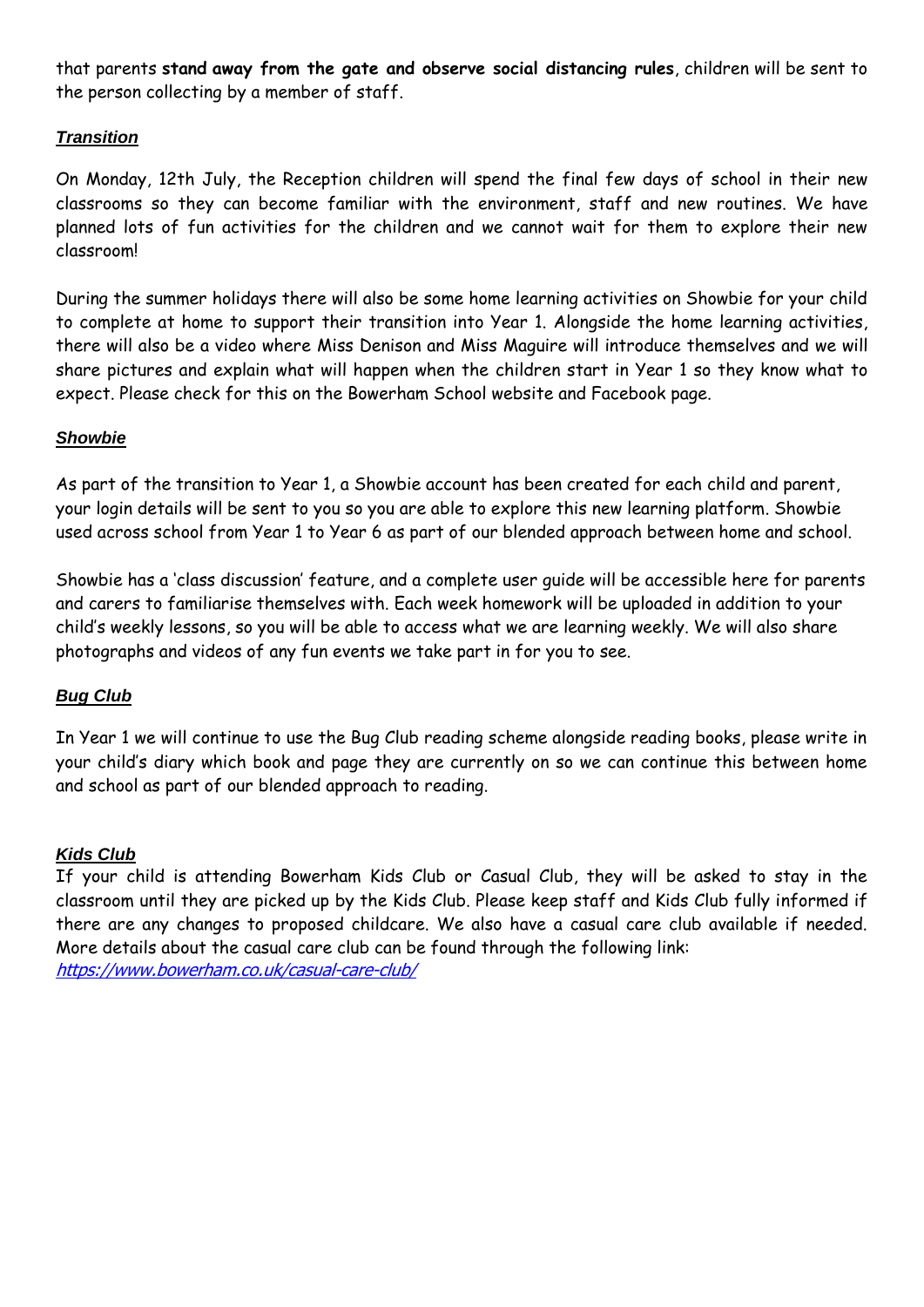that parents **stand away from the gate and observe social distancing rules**, children will be sent to the person collecting by a member of staff.

## *Transition*

On Monday, 12th July, the Reception children will spend the final few days of school in their new classrooms so they can become familiar with the environment, staff and new routines. We have planned lots of fun activities for the children and we cannot wait for them to explore their new classroom!

During the summer holidays there will also be some home learning activities on Showbie for your child to complete at home to support their transition into Year 1. Alongside the home learning activities, there will also be a video where Miss Denison and Miss Maguire will introduce themselves and we will share pictures and explain what will happen when the children start in Year 1 so they know what to expect. Please check for this on the Bowerham School website and Facebook page.

### *Showbie*

As part of the transition to Year 1, a Showbie account has been created for each child and parent, your login details will be sent to you so you are able to explore this new learning platform. Showbie used across school from Year 1 to Year 6 as part of our blended approach between home and school.

Showbie has a 'class discussion' feature, and a complete user guide will be accessible here for parents and carers to familiarise themselves with. Each week homework will be uploaded in addition to your child's weekly lessons, so you will be able to access what we are learning weekly. We will also share photographs and videos of any fun events we take part in for you to see.

### *Bug Club*

In Year 1 we will continue to use the Bug Club reading scheme alongside reading books, please write in your child's diary which book and page they are currently on so we can continue this between home and school as part of our blended approach to reading.

### *Kids Club*

If your child is attending Bowerham Kids Club or Casual Club, they will be asked to stay in the classroom until they are picked up by the Kids Club. Please keep staff and Kids Club fully informed if there are any changes to proposed childcare. We also have a casual care club available if needed. More details about the casual care club can be found through the following link: <https://www.bowerham.co.uk/casual-care-club/>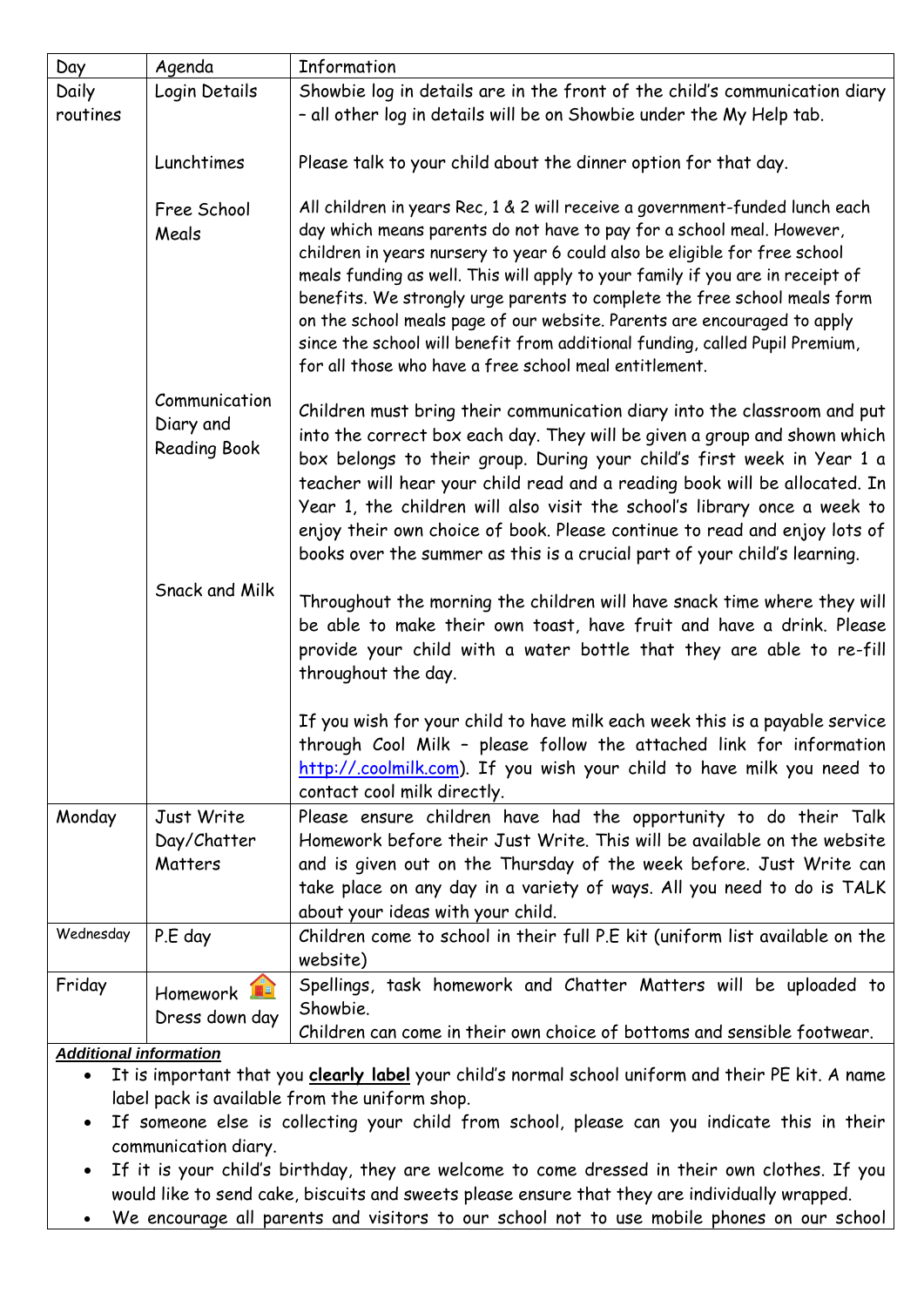| Day                      | Agenda                                            | Information                                                                                                                                                                                                                                                                                                                                                                                                                                                                                                                                                                                                               |
|--------------------------|---------------------------------------------------|---------------------------------------------------------------------------------------------------------------------------------------------------------------------------------------------------------------------------------------------------------------------------------------------------------------------------------------------------------------------------------------------------------------------------------------------------------------------------------------------------------------------------------------------------------------------------------------------------------------------------|
| <b>Daily</b><br>routines | Login Details                                     | Showbie log in details are in the front of the child's communication diary<br>- all other log in details will be on Showbie under the My Help tab.                                                                                                                                                                                                                                                                                                                                                                                                                                                                        |
|                          | Lunchtimes                                        | Please talk to your child about the dinner option for that day.                                                                                                                                                                                                                                                                                                                                                                                                                                                                                                                                                           |
|                          | Free School<br>Meals                              | All children in years Rec, 1 & 2 will receive a government-funded lunch each<br>day which means parents do not have to pay for a school meal. However,<br>children in years nursery to year 6 could also be eligible for free school<br>meals funding as well. This will apply to your family if you are in receipt of<br>benefits. We strongly urge parents to complete the free school meals form<br>on the school meals page of our website. Parents are encouraged to apply<br>since the school will benefit from additional funding, called Pupil Premium,<br>for all those who have a free school meal entitlement. |
|                          | Communication<br>Diary and<br><b>Reading Book</b> | Children must bring their communication diary into the classroom and put<br>into the correct box each day. They will be given a group and shown which<br>box belongs to their group. During your child's first week in Year 1 a<br>teacher will hear your child read and a reading book will be allocated. In<br>Year 1, the children will also visit the school's library once a week to<br>enjoy their own choice of book. Please continue to read and enjoy lots of<br>books over the summer as this is a crucial part of your child's learning.                                                                       |
|                          | Snack and Milk                                    | Throughout the morning the children will have snack time where they will<br>be able to make their own toast, have fruit and have a drink. Please<br>provide your child with a water bottle that they are able to re-fill<br>throughout the day.                                                                                                                                                                                                                                                                                                                                                                           |
|                          |                                                   | If you wish for your child to have milk each week this is a payable service<br>through Cool Milk - please follow the attached link for information<br>http://.coolmilk.com). If you wish your child to have milk you need to<br>contact cool milk directly.                                                                                                                                                                                                                                                                                                                                                               |
| Monday                   | Just Write<br>Day/Chatter<br>Matters              | Please ensure children have had the opportunity to do their Talk<br>Homework before their Just Write. This will be available on the website<br>and is given out on the Thursday of the week before. Just Write can<br>take place on any day in a variety of ways. All you need to do is TALK<br>about your ideas with your child.                                                                                                                                                                                                                                                                                         |
| Wednesday                | P.E day                                           | Children come to school in their full P.E kit (uniform list available on the<br>website)                                                                                                                                                                                                                                                                                                                                                                                                                                                                                                                                  |
| Friday                   | Homework<br>Dress down day                        | Spellings, task homework and Chatter Matters will be uploaded to<br>Showbie.<br>Children can come in their own choice of bottoms and sensible footwear.                                                                                                                                                                                                                                                                                                                                                                                                                                                                   |

*Additional information*

 It is important that you **clearly label** your child's normal school uniform and their PE kit. A name label pack is available from the uniform shop.

- If someone else is collecting your child from school, please can you indicate this in their communication diary.
- If it is your child's birthday, they are welcome to come dressed in their own clothes. If you would like to send cake, biscuits and sweets please ensure that they are individually wrapped.

We encourage all parents and visitors to our school not to use mobile phones on our school